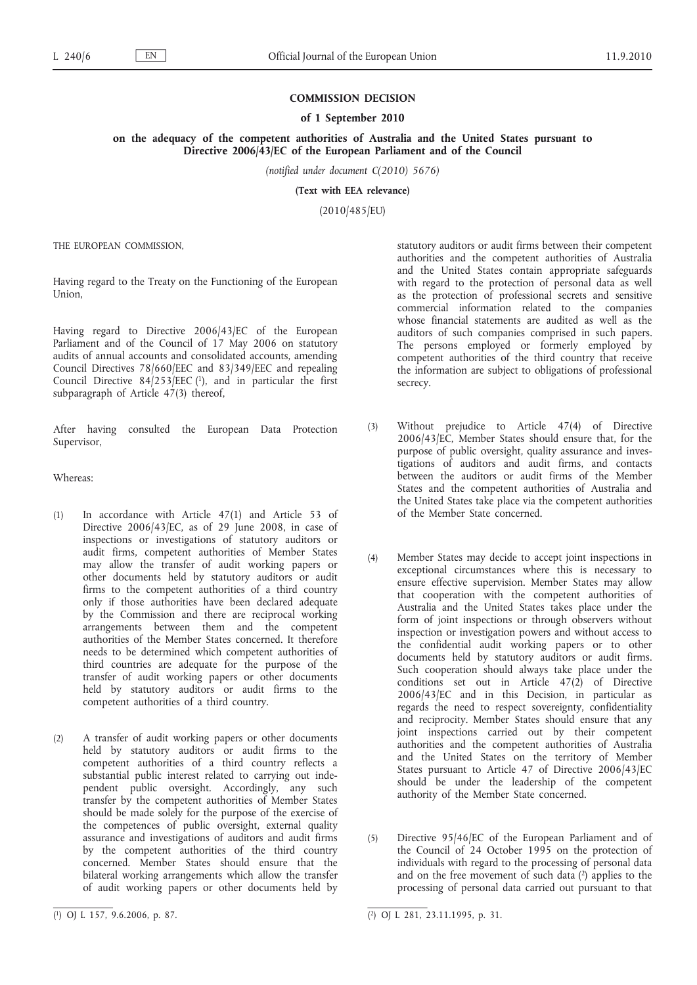### **COMMISSION DECISION**

#### **of 1 September 2010**

**on the adequacy of the competent authorities of Australia and the United States pursuant to Directive 2006/43/EC of the European Parliament and of the Council**

*(notified under document C(2010) 5676)*

**(Text with EEA relevance)**

(2010/485/EU)

THE EUROPEAN COMMISSION,

Having regard to the Treaty on the Functioning of the European Union,

Having regard to Directive 2006/43/EC of the European Parliament and of the Council of 17 May 2006 on statutory audits of annual accounts and consolidated accounts, amending Council Directives 78/660/EEC and 83/349/EEC and repealing Council Directive  $84/253/EEC$  (1), and in particular the first subparagraph of Article 47(3) thereof,

After having consulted the European Data Protection Supervisor,

Whereas:

- (1) In accordance with Article 47(1) and Article 53 of Directive 2006/43/EC, as of 29 June 2008, in case of inspections or investigations of statutory auditors or audit firms, competent authorities of Member States may allow the transfer of audit working papers or other documents held by statutory auditors or audit firms to the competent authorities of a third country only if those authorities have been declared adequate by the Commission and there are reciprocal working arrangements between them and the competent authorities of the Member States concerned. It therefore needs to be determined which competent authorities of third countries are adequate for the purpose of the transfer of audit working papers or other documents held by statutory auditors or audit firms to the competent authorities of a third country.
- (2) A transfer of audit working papers or other documents held by statutory auditors or audit firms to the competent authorities of a third country reflects a substantial public interest related to carrying out independent public oversight. Accordingly, any such transfer by the competent authorities of Member States should be made solely for the purpose of the exercise of the competences of public oversight, external quality assurance and investigations of auditors and audit firms by the competent authorities of the third country concerned. Member States should ensure that the bilateral working arrangements which allow the transfer of audit working papers or other documents held by

statutory auditors or audit firms between their competent authorities and the competent authorities of Australia and the United States contain appropriate safeguards with regard to the protection of personal data as well as the protection of professional secrets and sensitive commercial information related to the companies whose financial statements are audited as well as the auditors of such companies comprised in such papers. The persons employed or formerly employed by competent authorities of the third country that receive the information are subject to obligations of professional secrecy.

- (3) Without prejudice to Article 47(4) of Directive 2006/43/EC, Member States should ensure that, for the purpose of public oversight, quality assurance and investigations of auditors and audit firms, and contacts between the auditors or audit firms of the Member States and the competent authorities of Australia and the United States take place via the competent authorities of the Member State concerned.
- (4) Member States may decide to accept joint inspections in exceptional circumstances where this is necessary to ensure effective supervision. Member States may allow that cooperation with the competent authorities of Australia and the United States takes place under the form of joint inspections or through observers without inspection or investigation powers and without access to the confidential audit working papers or to other documents held by statutory auditors or audit firms. Such cooperation should always take place under the conditions set out in Article 47(2) of Directive 2006/43/EC and in this Decision, in particular as regards the need to respect sovereignty, confidentiality and reciprocity. Member States should ensure that any joint inspections carried out by their competent authorities and the competent authorities of Australia and the United States on the territory of Member States pursuant to Article 47 of Directive 2006/43/EC should be under the leadership of the competent authority of the Member State concerned.
- (5) Directive 95/46/EC of the European Parliament and of the Council of 24 October 1995 on the protection of individuals with regard to the processing of personal data and on the free movement of such data  $(2)$  applies to the processing of personal data carried out pursuant to that

 $\overline{(^1)}$  OJ L 157, 9.6.2006, p. 87.

 $\overline{(^2)}$  OJ L 281, 23.11.1995, p. 31.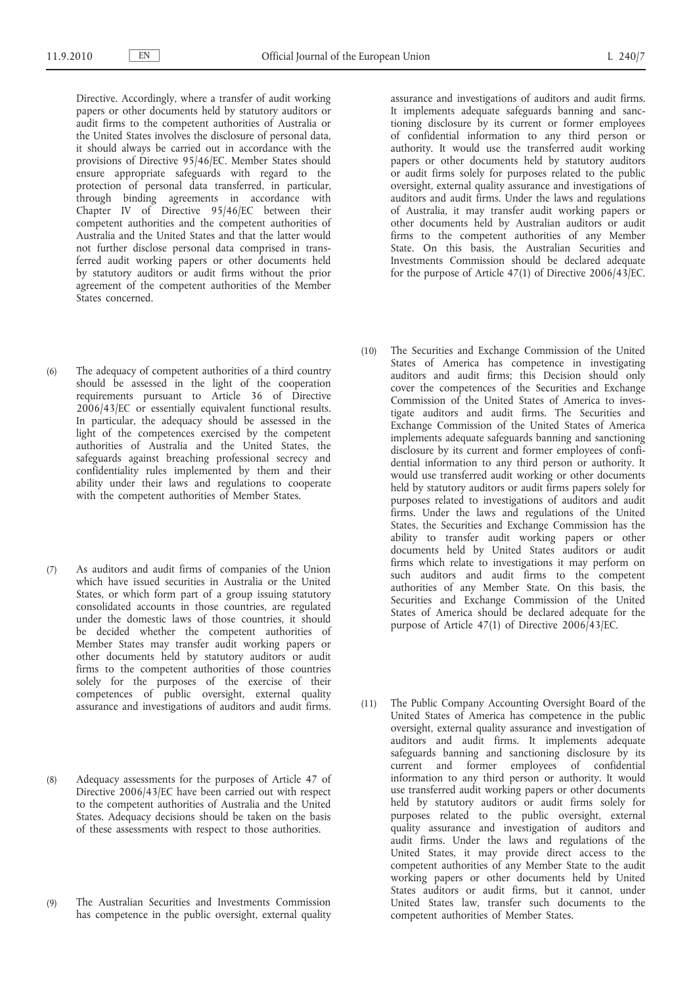Directive. Accordingly, where a transfer of audit working papers or other documents held by statutory auditors or audit firms to the competent authorities of Australia or the United States involves the disclosure of personal data, it should always be carried out in accordance with the provisions of Directive 95/46/EC. Member States should ensure appropriate safeguards with regard to the protection of personal data transferred, in particular, through binding agreements in accordance with Chapter IV of Directive 95/46/EC between their competent authorities and the competent authorities of Australia and the United States and that the latter would not further disclose personal data comprised in transferred audit working papers or other documents held by statutory auditors or audit firms without the prior agreement of the competent authorities of the Member States concerned.

- (6) The adequacy of competent authorities of a third country should be assessed in the light of the cooperation requirements pursuant to Article 36 of Directive 2006/43/EC or essentially equivalent functional results. In particular, the adequacy should be assessed in the light of the competences exercised by the competent authorities of Australia and the United States, the safeguards against breaching professional secrecy and confidentiality rules implemented by them and their ability under their laws and regulations to cooperate with the competent authorities of Member States.
- (7) As auditors and audit firms of companies of the Union which have issued securities in Australia or the United States, or which form part of a group issuing statutory consolidated accounts in those countries, are regulated under the domestic laws of those countries, it should be decided whether the competent authorities of Member States may transfer audit working papers or other documents held by statutory auditors or audit firms to the competent authorities of those countries solely for the purposes of the exercise of their competences of public oversight, external quality assurance and investigations of auditors and audit firms.
- (8) Adequacy assessments for the purposes of Article 47 of Directive 2006/43/EC have been carried out with respect to the competent authorities of Australia and the United States. Adequacy decisions should be taken on the basis of these assessments with respect to those authorities.
- (9) The Australian Securities and Investments Commission has competence in the public oversight, external quality

assurance and investigations of auditors and audit firms. It implements adequate safeguards banning and sanctioning disclosure by its current or former employees of confidential information to any third person or authority. It would use the transferred audit working papers or other documents held by statutory auditors or audit firms solely for purposes related to the public oversight, external quality assurance and investigations of auditors and audit firms. Under the laws and regulations of Australia, it may transfer audit working papers or other documents held by Australian auditors or audit firms to the competent authorities of any Member State. On this basis, the Australian Securities and Investments Commission should be declared adequate for the purpose of Article 47(1) of Directive 2006/43/EC.

- (10) The Securities and Exchange Commission of the United States of America has competence in investigating auditors and audit firms; this Decision should only cover the competences of the Securities and Exchange Commission of the United States of America to investigate auditors and audit firms. The Securities and Exchange Commission of the United States of America implements adequate safeguards banning and sanctioning disclosure by its current and former employees of confidential information to any third person or authority. It would use transferred audit working or other documents held by statutory auditors or audit firms papers solely for purposes related to investigations of auditors and audit firms. Under the laws and regulations of the United States, the Securities and Exchange Commission has the ability to transfer audit working papers or other documents held by United States auditors or audit firms which relate to investigations it may perform on such auditors and audit firms to the competent authorities of any Member State. On this basis, the Securities and Exchange Commission of the United States of America should be declared adequate for the purpose of Article 47(1) of Directive 2006/43/EC.
- (11) The Public Company Accounting Oversight Board of the United States of America has competence in the public oversight, external quality assurance and investigation of auditors and audit firms. It implements adequate safeguards banning and sanctioning disclosure by its current and former employees of confidential information to any third person or authority. It would use transferred audit working papers or other documents held by statutory auditors or audit firms solely for purposes related to the public oversight, external quality assurance and investigation of auditors and audit firms. Under the laws and regulations of the United States, it may provide direct access to the competent authorities of any Member State to the audit working papers or other documents held by United States auditors or audit firms, but it cannot, under United States law, transfer such documents to the competent authorities of Member States.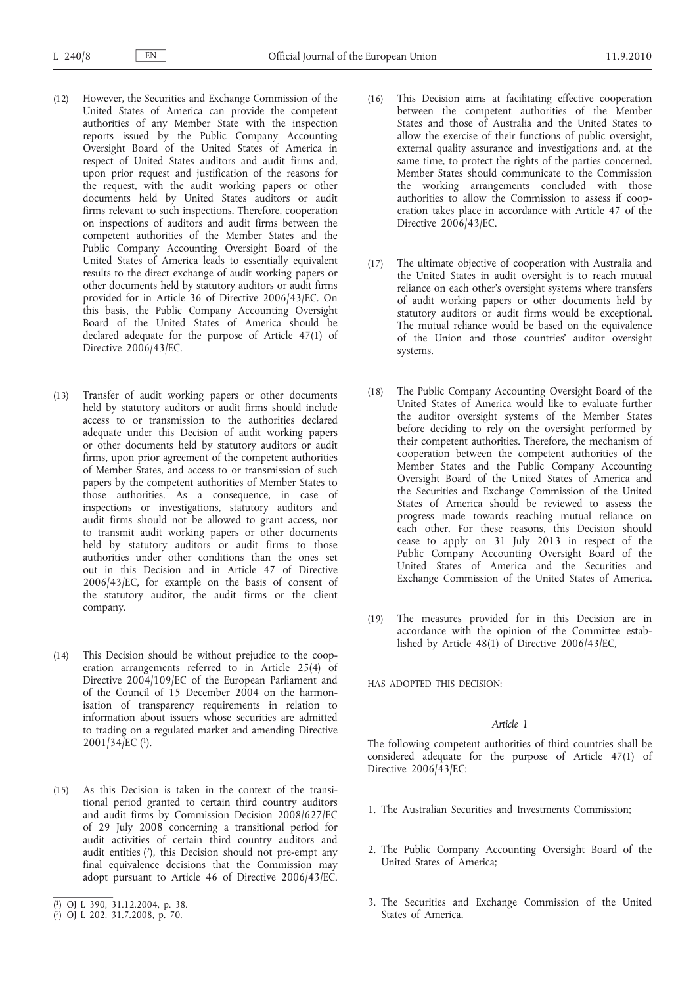- (12) However, the Securities and Exchange Commission of the United States of America can provide the competent authorities of any Member State with the inspection reports issued by the Public Company Accounting Oversight Board of the United States of America in respect of United States auditors and audit firms and, upon prior request and justification of the reasons for the request, with the audit working papers or other documents held by United States auditors or audit firms relevant to such inspections. Therefore, cooperation on inspections of auditors and audit firms between the competent authorities of the Member States and the Public Company Accounting Oversight Board of the United States of America leads to essentially equivalent results to the direct exchange of audit working papers or other documents held by statutory auditors or audit firms provided for in Article 36 of Directive 2006/43/EC. On this basis, the Public Company Accounting Oversight Board of the United States of America should be declared adequate for the purpose of Article 47(1) of Directive 2006/43/EC.
- (13) Transfer of audit working papers or other documents held by statutory auditors or audit firms should include access to or transmission to the authorities declared adequate under this Decision of audit working papers or other documents held by statutory auditors or audit firms, upon prior agreement of the competent authorities of Member States, and access to or transmission of such papers by the competent authorities of Member States to those authorities. As a consequence, in case of inspections or investigations, statutory auditors and audit firms should not be allowed to grant access, nor to transmit audit working papers or other documents held by statutory auditors or audit firms to those authorities under other conditions than the ones set out in this Decision and in Article 47 of Directive 2006/43/EC, for example on the basis of consent of the statutory auditor, the audit firms or the client company.
- (14) This Decision should be without prejudice to the cooperation arrangements referred to in Article 25(4) of Directive 2004/109/EC of the European Parliament and of the Council of 15 December 2004 on the harmonisation of transparency requirements in relation to information about issuers whose securities are admitted to trading on a regulated market and amending Directive  $2001/34$ /EC (<sup>1</sup>).
- (15) As this Decision is taken in the context of the transitional period granted to certain third country auditors and audit firms by Commission Decision 2008/627/EC of 29 July 2008 concerning a transitional period for audit activities of certain third country auditors and audit entities  $(2)$ , this Decision should not pre-empt any final equivalence decisions that the Commission may adopt pursuant to Article 46 of Directive 2006/43/EC.
- (16) This Decision aims at facilitating effective cooperation between the competent authorities of the Member States and those of Australia and the United States to allow the exercise of their functions of public oversight, external quality assurance and investigations and, at the same time, to protect the rights of the parties concerned. Member States should communicate to the Commission the working arrangements concluded with those authorities to allow the Commission to assess if cooperation takes place in accordance with Article 47 of the Directive 2006/43/EC.
- (17) The ultimate objective of cooperation with Australia and the United States in audit oversight is to reach mutual reliance on each other's oversight systems where transfers of audit working papers or other documents held by statutory auditors or audit firms would be exceptional. The mutual reliance would be based on the equivalence of the Union and those countries' auditor oversight systems.
- (18) The Public Company Accounting Oversight Board of the United States of America would like to evaluate further the auditor oversight systems of the Member States before deciding to rely on the oversight performed by their competent authorities. Therefore, the mechanism of cooperation between the competent authorities of the Member States and the Public Company Accounting Oversight Board of the United States of America and the Securities and Exchange Commission of the United States of America should be reviewed to assess the progress made towards reaching mutual reliance on each other. For these reasons, this Decision should cease to apply on 31 July 2013 in respect of the Public Company Accounting Oversight Board of the United States of America and the Securities and Exchange Commission of the United States of America.
- (19) The measures provided for in this Decision are in accordance with the opinion of the Committee established by Article 48(1) of Directive 2006/43/EC,

HAS ADOPTED THIS DECISION:

# *Article 1*

The following competent authorities of third countries shall be considered adequate for the purpose of Article 47(1) of Directive 2006/43/EC:

- 1. The Australian Securities and Investments Commission;
- 2. The Public Company Accounting Oversight Board of the United States of America;
- 3. The Securities and Exchange Commission of the United States of America.

<sup>(</sup> 1) OJ L 390, 31.12.2004, p. 38.

<sup>(</sup> 2) OJ L 202, 31.7.2008, p. 70.